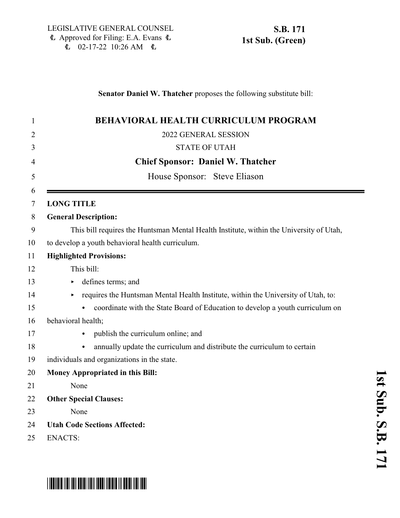## **Senator Daniel W. Thatcher** proposes the following substitute bill:

| <b>BEHAVIORAL HEALTH CURRICULUM PROGRAM</b>                                             |
|-----------------------------------------------------------------------------------------|
| 2022 GENERAL SESSION                                                                    |
| <b>STATE OF UTAH</b>                                                                    |
| <b>Chief Sponsor: Daniel W. Thatcher</b>                                                |
| House Sponsor: Steve Eliason                                                            |
| <b>LONG TITLE</b>                                                                       |
| <b>General Description:</b>                                                             |
| This bill requires the Huntsman Mental Health Institute, within the University of Utah, |
| to develop a youth behavioral health curriculum.                                        |
| <b>Highlighted Provisions:</b>                                                          |
| This bill:                                                                              |
| defines terms; and                                                                      |
| requires the Huntsman Mental Health Institute, within the University of Utah, to:       |
| coordinate with the State Board of Education to develop a youth curriculum on           |
| behavioral health;                                                                      |
| publish the curriculum online; and                                                      |
| annually update the curriculum and distribute the curriculum to certain                 |
| individuals and organizations in the state.                                             |
| Money Appropriated in this Bill:                                                        |
| None                                                                                    |
| <b>Other Special Clauses:</b>                                                           |
| None                                                                                    |
| <b>Utah Code Sections Affected:</b>                                                     |
| <b>ENACTS:</b>                                                                          |

## \*SB0171S01\*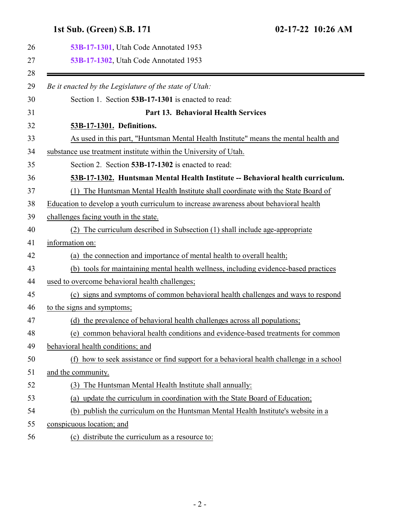## <span id="page-1-1"></span><span id="page-1-0"></span>**1st Sub. (Green) S.B. 171 02-17-22 10:26 AM**

| 53B-17-1301, Utah Code Annotated 1953                                                    |
|------------------------------------------------------------------------------------------|
| 53B-17-1302, Utah Code Annotated 1953                                                    |
| Be it enacted by the Legislature of the state of Utah:                                   |
| Section 1. Section 53B-17-1301 is enacted to read:                                       |
| Part 13. Behavioral Health Services                                                      |
| 53B-17-1301. Definitions.                                                                |
| As used in this part, "Huntsman Mental Health Institute" means the mental health and     |
| substance use treatment institute within the University of Utah.                         |
| Section 2. Section 53B-17-1302 is enacted to read:                                       |
| 53B-17-1302. Huntsman Mental Health Institute -- Behavioral health curriculum.           |
| The Huntsman Mental Health Institute shall coordinate with the State Board of<br>(1)     |
| Education to develop a youth curriculum to increase awareness about behavioral health    |
| challenges facing youth in the state.                                                    |
| The curriculum described in Subsection (1) shall include age-appropriate<br>(2)          |
| information on:                                                                          |
| (a) the connection and importance of mental health to overall health;                    |
| (b) tools for maintaining mental health wellness, including evidence-based practices     |
| used to overcome behavioral health challenges;                                           |
| (c) signs and symptoms of common behavioral health challenges and ways to respond        |
| to the signs and symptoms;                                                               |
| (d) the prevalence of behavioral health challenges across all populations;               |
| (e) common behavioral health conditions and evidence-based treatments for common         |
| behavioral health conditions; and                                                        |
| (f) how to seek assistance or find support for a behavioral health challenge in a school |
| and the community.                                                                       |
| The Huntsman Mental Health Institute shall annually:<br>(3)                              |
| update the curriculum in coordination with the State Board of Education;<br>(a)          |
| (b) publish the curriculum on the Huntsman Mental Health Institute's website in a        |
| conspicuous location; and                                                                |
| (c) distribute the curriculum as a resource to:                                          |